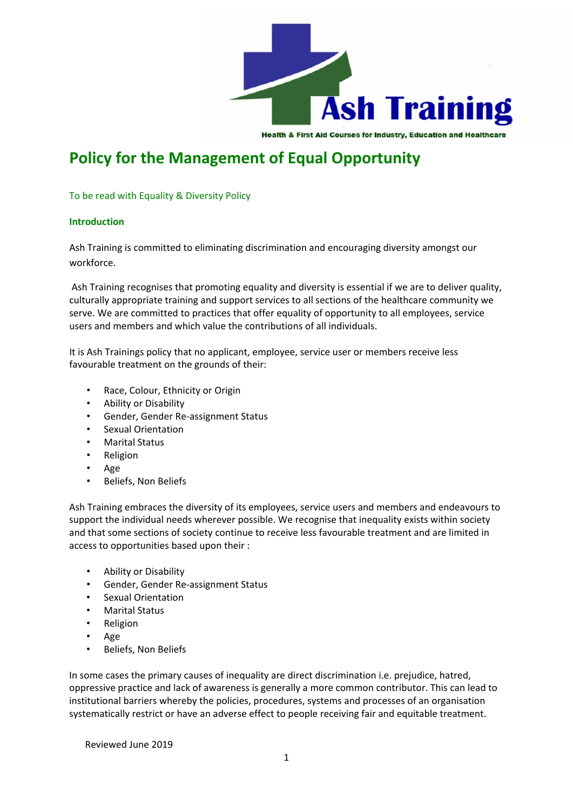

**Health & First Aid Courses for Industry, Education and Healthcare** 

# **Policy for the Management of Equal Opportunity**

To be read with Equality & Diversity Policy

# **Introduction**

Ash Training is committed to eliminating discrimination and encouraging diversity amongst our workforce.

Ash Training recognises that promoting equality and diversity is essential if we are to deliver quality, culturally appropriate training and support services to all sections of the healthcare community we serve. We are committed to practices that offer equality of opportunity to all employees, service users and members and which value the contributions of all individuals.

It is Ash Trainings policy that no applicant, employee, service user or members receive less favourable treatment on the grounds of their:

- Race, Colour, Ethnicity or Origin
- Ability or Disability
- Gender, Gender Re-assignment Status
- Sexual Orientation
- Marital Status
- Religion
- Age
- Beliefs, Non Beliefs

Ash Training embraces the diversity of its employees, service users and members and endeavours to support the individual needs wherever possible. We recognise that inequality exists within society and that some sections of society continue to receive less favourable treatment and are limited in access to opportunities based upon their :

- Ability or Disability
- Gender, Gender Re-assignment Status
- Sexual Orientation
- Marital Status
- Religion
- Age
- Beliefs, Non Beliefs

In some cases the primary causes of inequality are direct discrimination i.e. prejudice, hatred, oppressive practice and lack of awareness is generally a more common contributor. This can lead to institutional barriers whereby the policies, procedures, systems and processes of an organisation systematically restrict or have an adverse effect to people receiving fair and equitable treatment.

Reviewed June 2019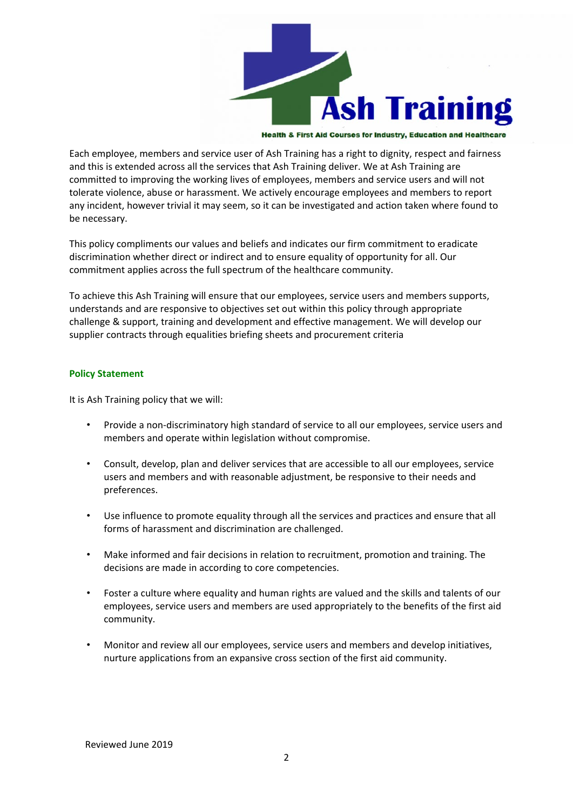

**Health & First Aid Courses for Industry, Education and Healthcare** 

Each employee, members and service user of Ash Training has a right to dignity, respect and fairness and this is extended across all the services that Ash Training deliver. We at Ash Training are committed to improving the working lives of employees, members and service users and will not tolerate violence, abuse or harassment. We actively encourage employees and members to report any incident, however trivial it may seem, so it can be investigated and action taken where found to be necessary.

This policy compliments our values and beliefs and indicates our firm commitment to eradicate discrimination whether direct or indirect and to ensure equality of opportunity for all. Our commitment applies across the full spectrum of the healthcare community.

To achieve this Ash Training will ensure that our employees, service users and members supports, understands and are responsive to objectives set out within this policy through appropriate challenge & support, training and development and effective management. We will develop our supplier contracts through equalities briefing sheets and procurement criteria

#### **Policy Statement**

It is Ash Training policy that we will:

- Provide a non-discriminatory high standard of service to all our employees, service users and members and operate within legislation without compromise.
- Consult, develop, plan and deliver services that are accessible to all our employees, service users and members and with reasonable adjustment, be responsive to their needs and preferences.
- Use influence to promote equality through all the services and practices and ensure that all forms of harassment and discrimination are challenged.
- Make informed and fair decisions in relation to recruitment, promotion and training. The decisions are made in according to core competencies.
- Foster a culture where equality and human rights are valued and the skills and talents of our employees, service users and members are used appropriately to the benefits of the first aid community.
- Monitor and review all our employees, service users and members and develop initiatives, nurture applications from an expansive cross section of the first aid community.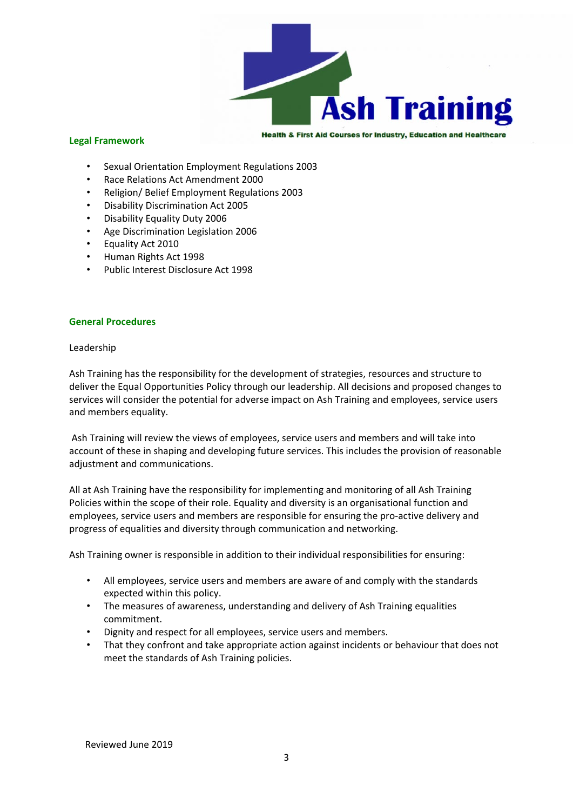

### **Legal Framework**

**Health & First Aid Courses for Industry, Education and Healthcare** 

- Sexual Orientation Employment Regulations 2003
- Race Relations Act Amendment 2000
- Religion/ Belief Employment Regulations 2003
- Disability Discrimination Act 2005
- Disability Equality Duty 2006
- Age Discrimination Legislation 2006
- Equality Act 2010
- Human Rights Act 1998
- Public Interest Disclosure Act 1998

# **General Procedures**

#### Leadership

Ash Training has the responsibility for the development of strategies, resources and structure to deliver the Equal Opportunities Policy through our leadership. All decisions and proposed changes to services will consider the potential for adverse impact on Ash Training and employees, service users and members equality.

Ash Training will review the views of employees, service users and members and will take into account of these in shaping and developing future services. This includes the provision of reasonable adjustment and communications.

All at Ash Training have the responsibility for implementing and monitoring of all Ash Training Policies within the scope of their role. Equality and diversity is an organisational function and employees, service users and members are responsible for ensuring the pro-active delivery and progress of equalities and diversity through communication and networking.

Ash Training owner is responsible in addition to their individual responsibilities for ensuring:

- All employees, service users and members are aware of and comply with the standards expected within this policy.
- The measures of awareness, understanding and delivery of Ash Training equalities commitment.
- Dignity and respect for all employees, service users and members.
- That they confront and take appropriate action against incidents or behaviour that does not meet the standards of Ash Training policies.